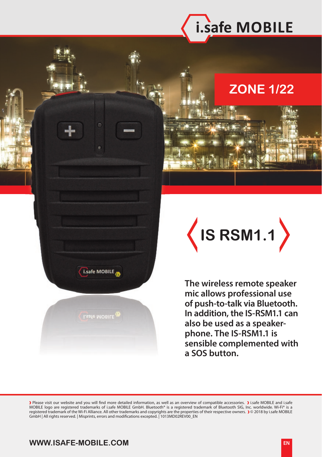

## **ZONE 1/22**



**The wireless remote speaker mic allows professional use of push-to-talk via Bluetooth. In addition, the IS-RSM1.1 can also be used as a speakerphone. The IS-RSM1.1 is sensible complemented with a SOS button.**

) Please visit our website and you will find more detailed information, as well as an overview of compatible accessories. ) i.safe MOBILE and i.safe<br>MOBILE logo are registered trademarks of i.safe MOBILE GmbH. Bluetooth® i registered trademark of the Wi-Fi Alliance. All other trademarks and copyrights are the properties of their respective owners. 》© 2018 by i.safe MOBILE<br>GmbH | All rights reserved. | Misprints, errors and modifications exc

## **WWW.ISAFE-MOBILE.COM**

i.safe MOBILE